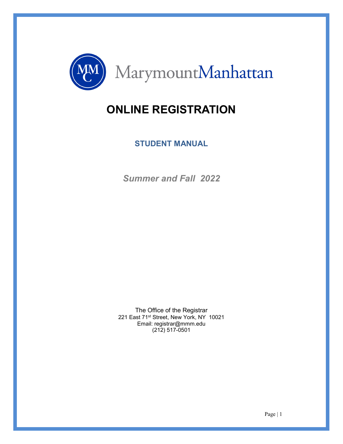

# **ONLINE REGISTRATION**

**STUDENT MANUAL**

*Summer and Fall 2022* 

The Office of the Registrar 221 East 71<sup>st</sup> Street, New York, NY 10021 Email: registrar@mmm.edu (212) 517-0501

Page | 1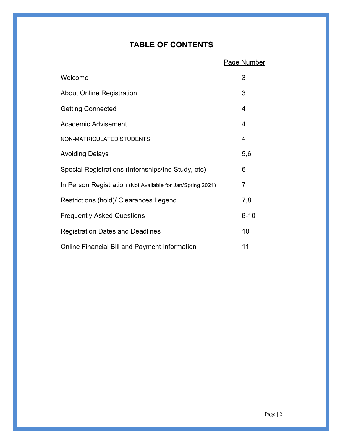# **TABLE OF CONTENTS**

|                                                            | <b>Page Number</b> |
|------------------------------------------------------------|--------------------|
| Welcome                                                    | 3                  |
| <b>About Online Registration</b>                           | 3                  |
| <b>Getting Connected</b>                                   | 4                  |
| <b>Academic Advisement</b>                                 | 4                  |
| NON-MATRICULATED STUDENTS                                  | 4                  |
| <b>Avoiding Delays</b>                                     | 5,6                |
| Special Registrations (Internships/Ind Study, etc)         | 6                  |
| In Person Registration (Not Available for Jan/Spring 2021) | $\overline{7}$     |
| Restrictions (hold)/ Clearances Legend                     | 7,8                |
| <b>Frequently Asked Questions</b>                          | $8 - 10$           |
| <b>Registration Dates and Deadlines</b>                    | 10                 |
| <b>Online Financial Bill and Payment Information</b>       | 11                 |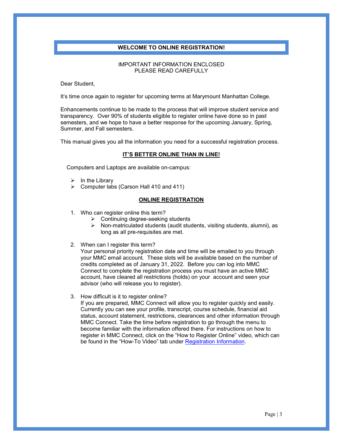# **WELCOME TO ONLINE REGISTRATION!**

### IMPORTANT INFORMATION ENCLOSED PLEASE READ CAREFULLY

Dear Student,

It's time once again to register for upcoming terms at Marymount Manhattan College.

Enhancements continue to be made to the process that will improve student service and transparency. Over 90% of students eligible to register online have done so in past semesters, and we hope to have a better response for the upcoming January, Spring, Summer, and Fall semesters.

This manual gives you all the information you need for a successful registration process.

#### **IT'S BETTER ONLINE THAN IN LINE!**

Computers and Laptops are available on-campus:

- $\triangleright$  In the Library
- $\triangleright$  Computer labs (Carson Hall 410 and 411)

#### **ONLINE REGISTRATION**

- 1. Who can register online this term?
	- $\triangleright$  Continuing degree-seeking students
	- $\triangleright$  Non-matriculated students (audit students, visiting students, alumni), as long as all pre-requisites are met.
- 2. When can I register this term?

Your personal priority registration date and time will be emailed to you through your MMC email account. These slots will be available based on the number of credits completed as of January 31, 2022. Before you can log into MMC Connect to complete the registration process you must have an active MMC account, have cleared all restrictions (holds) on your account and seen your advisor (who will release you to register).

3. How difficult is it to register online?

If you are prepared, MMC Connect will allow you to register quickly and easily. Currently you can see your profile, transcript, course schedule, financial aid status, account statement, restrictions, clearances and other information through MMC Connect. Take the time before registration to go through the menu to become familiar with the information offered there. For instructions on how to register in MMC Connect, click on the "How to Register Online" video, which can be found in the "How-To Video" tab under [Registration Information.](https://www.mmm.edu/offices/academic-affairs/registration.php)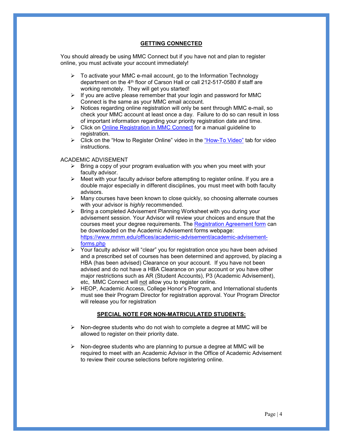### **GETTING CONNECTED**

You should already be using MMC Connect but if you have not and plan to register online, you must activate your account immediately!

- $\triangleright$  To activate your MMC e-mail account, go to the Information Technology department on the 4<sup>th</sup> floor of Carson Hall or call 212-517-0580 if staff are working remotely. They will get you started!
- $\triangleright$  If you are active please remember that your login and password for MMC Connect is the same as your MMC email account.
- $\triangleright$  Notices regarding online registration will only be sent through MMC e-mail, so check your MMC account at least once a day. Failure to do so can result in loss of important information regarding your priority registration date and time.
- S Click on [Online Registration in MMC Connect](https://www.mmm.edu/live/files/2938-mmc-connect-registration-guidelinesupdatedpdf) for a manual guideline to registration.
- $\triangleright$  Click on the "How to Register Online" video in the ["How-To Video"](https://www.mmm.edu/offices/academic-affairs/registration.php) tab for video instructions.

#### ACADEMIC ADVISEMENT

- $\triangleright$  Bring a copy of your program evaluation with you when you meet with your faculty advisor.
- $\triangleright$  Meet with your faculty advisor before attempting to register online. If you are a double major especially in different disciplines, you must meet with both faculty advisors.
- Many courses have been known to close quickly, so choosing alternate courses with your advisor is *highly* recommended.
- ▶ Bring a completed Advisement Planning Worksheet with you during your advisement session. Your Advisor will review your choices and ensure that the courses meet your degree requirements. The [Registration Agreement form](https://www.mmm.edu/live/files/2755-registration-form) can be downloaded on the Academic Advisement forms webpage: [https://www.mmm.edu/offices/academic-advisement/academic-advisement](https://www.mmm.edu/offices/academic-advisement/academic-advisement-forms.php)[forms.php](https://www.mmm.edu/offices/academic-advisement/academic-advisement-forms.php)
- $\triangleright$  Your faculty advisor will "clear" you for registration once you have been advised and a prescribed set of courses has been determined and approved, by placing a HBA (has been advised) Clearance on your account. If you have not been advised and do not have a HBA Clearance on your account or you have other major restrictions such as AR (Student Accounts), P3 (Academic Advisement), etc, MMC Connect will not allow you to register online.
- HEOP, Academic Access, College Honor's Program, and International students must see their Program Director for registration approval. Your Program Director will release you for registration

# **SPECIAL NOTE FOR NON-MATRICULATED STUDENTS:**

- $\triangleright$  Non-degree students who do not wish to complete a degree at MMC will be allowed to register on their priority date.
- $\triangleright$  Non-degree students who are planning to pursue a degree at MMC will be required to meet with an Academic Advisor in the Office of Academic Advisement to review their course selections before registering online.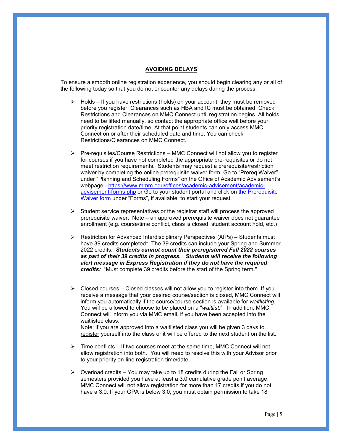#### **AVOIDING DELAYS**

To ensure a smooth online registration experience, you should begin clearing any or all of the following today so that you do not encounter any delays during the process.

- $\triangleright$  Holds If you have restrictions (holds) on your account, they must be removed before you register. Clearances such as HBA and IC must be obtained. Check Restrictions and Clearances on MMC Connect until registration begins. All holds need to be lifted manually, so contact the appropriate office well before your priority registration date/time. At that point students can only access MMC Connect on or after their scheduled date and time. You can check Restrictions/Clearances on MMC Connect.
- $\triangleright$  Pre-requisites/Course Restrictions MMC Connect will not allow you to register for courses if you have not completed the appropriate pre-requisites or do not meet restriction requirements. Students may request a prerequisite/restriction waiver by completing the online prerequisite waiver form. Go to "Prereq Waiver" under "Planning and Scheduling Forms" on the Office of Academic Advisement's webpage - [https://www.mmm.edu/offices/academic-advisement/academic](https://www.mmm.edu/offices/academic-advisement/academic-advisement-forms.php)[advisement-forms.php](https://www.mmm.edu/offices/academic-advisement/academic-advisement-forms.php) or Go to your student portal and click on the Prerequisite Waiver form under "Forms", if available, to start your request.
- $\triangleright$  Student service representatives or the registrar staff will process the approved prerequisite waiver. Note – an approved prerequisite waiver does not guarantee enrollment (e.g. course/time conflict, class is closed, student account hold, etc.)
- Restriction for Advanced Interdisciplinary Perspectives (AIPs) Students must have 39 credits completed\*. The 39 credits can include your Spring and Summer 2022 credits. *Students cannot count their preregistered Fall 2022 courses as part of their 39 credits in progress. Students will receive the following alert message in Express Registration if they do not have the required credits:* "Must complete 39 credits before the start of the Spring term."
- $\triangleright$  Closed courses Closed classes will not allow you to register into them. If you receive a message that your desired course/section is closed, MMC Connect will inform you automatically if the course/course section is available for *waitlisting*. You will be allowed to choose to be placed on a "*waitlist.*" In addition, MMC Connect will inform you via MMC email, if you have been accepted into the waitlisted class.

Note: if you are approved into a waitlisted class you will be given 3 days to register yourself into the class or it will be offered to the next student on the list.

- $\triangleright$  Time conflicts If two courses meet at the same time, MMC Connect will not allow registration into both. You will need to resolve this with your Advisor prior to your priority on-line registration time/date.
- $\triangleright$  Overload credits You may take up to 18 credits during the Fall or Spring semesters provided you have at least a 3.0 cumulative grade point average. MMC Connect will not allow registration for more than 17 credits if you do not have a 3.0. If your GPA is below 3.0, you must obtain permission to take 18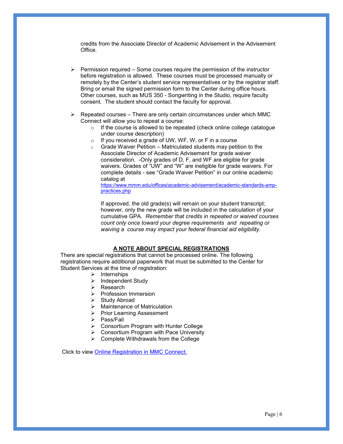credits from the Associate Director of Academic Advisement in the Advisement Office.

- $\triangleright$  Permission required Some courses require the permission of the instructor before registration is allowed. These courses must be processed manually or remotely by the Center's student service representatives or by the registrar staff. Bring or email the signed permission form to the Center during office hours. Other courses, such as MUS 350 - Songwriting in the Studio, require faculty consent. The student should contact the faculty for approval.
- $\triangleright$  Repeated courses There are only certain circumstances under which MMC Connect will allow you to repeat a course:
	- o If the course is allowed to be repeated (check online college catalogue under course description)
	- If you received a grade of UW, WF, W, or F in a course
	- $\circ$  Grade Waiver Petition Matriculated students may petition to the Associate Director of Academic Advisement for grade waiver consideration. -Only grades of D, F, and WF are eligible for grade waivers. Grades of "UW" and "W" are ineligible for grade waivers. For complete details - see "Grade Waiver Petition" in our online academic catalog at

[https://www.mmm.edu/offices/academic-advisement/academic-standards-amp](https://www.mmm.edu/offices/academic-advisement/academic-standards-amp-practices.php)[practices.php](https://www.mmm.edu/offices/academic-advisement/academic-standards-amp-practices.php)

If approved, the old grade(s) will remain on your student transcript; however, only the new grade will be included in the calculation of your cumulative GPA. *Remember that credits in repeated or waived courses count only once toward your degree requirements and repeating or waiving a course may impact your federal financial aid eligibility.*

# **A NOTE ABOUT SPECIAL REGISTRATIONS**

There are special registrations that cannot be processed online. The following registrations require additional paperwork that must be submitted to the Center for Student Services at the time of registration:

- $\triangleright$  Internships
- $\triangleright$  Independent Study
- **▶** Research
- $\triangleright$  Profession Immersion
- $\triangleright$  Study Abroad
- $\triangleright$  Maintenance of Matriculation
- $\triangleright$  Prior Learning Assessment
- ▶ Pass/Fail
- Consortium Program with Hunter College
- Consortium Program with Pace University
- $\triangleright$  Complete Withdrawals from the College

Click to view [Online Registration in MMC Connect.](https://www.mmm.edu/live/files/2938-mmc-connect-registration-guidelinesupdatedpdf)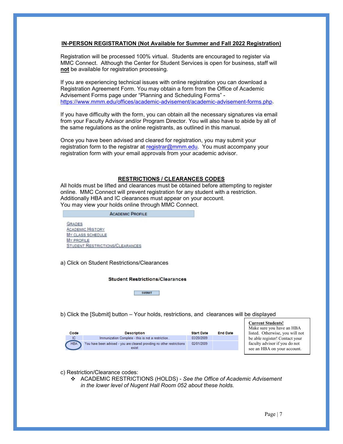### **IN-PERSON REGISTRATION (Not Available for Summer and Fall 2022 Registration)**

Registration will be processed 100% virtual. Students are encouraged to register via MMC Connect. Although the Center for Student Services is open for business, staff will **not** be available for registration processing.

If you are experiencing technical issues with online registration you can download a Registration Agreement Form. You may obtain a form from the Office of Academic Advisement Forms page under "Planning and Scheduling Forms" [https://www.mmm.edu/offices/academic-advisement/academic-advisement-forms.php.](https://www.mmm.edu/offices/academic-advisement/academic-advisement-forms.php)

If you have difficulty with the form, you can obtain all the necessary signatures via email from your Faculty Advisor and/or Program Director. You will also have to abide by all of the same regulations as the online registrants, as outlined in this manual.

Once you have been advised and cleared for registration, you may submit your registration form to the registrar at [registrar@mmm.edu.](mailto:registrar@mmm.edu) You must accompany your registration form with your email approvals from your academic advisor.

# **RESTRICTIONS / CLEARANCES CODES**

All holds must be lifted and clearances must be obtained before attempting to register online. MMC Connect will prevent registration for any student with a restriction. Additionally HBA and IC clearances must appear on your account. You may view your holds online through MMC Connect.

| <b>ACADEMIC PROFILE</b>                                                                                                      |  |
|------------------------------------------------------------------------------------------------------------------------------|--|
| <b>GRADES</b><br><b>ACADEMIC HISTORY</b><br>MY CLASS SCHEDULE<br><b>MY PROFILE</b><br><b>STUDENT RESTRICTIONS/CLEARANCES</b> |  |

a) Click on Student Restrictions/Clearances

#### **Student Restrictions/Clearances**

SUBMIT

b) Click the [Submit] button – Your holds, restrictions, and clearances will be displayed

| Code       | <b>Description</b>                                                               | <b>Start Date</b> | <b>End Date</b> |
|------------|----------------------------------------------------------------------------------|-------------------|-----------------|
| IC.        | Immunization Complete - this is not a restriction                                | 03/20/2009        |                 |
| <b>HBA</b> | You have been advised - you are cleared providing no other restrictions<br>exist | 02/01/2009        |                 |

**Current Students!** Make sure you have an HBA listed. Otherwise, you will not be able register! Contact your faculty advisor if you do not see an HBA on your account.

c) Restriction/Clearance codes:

 ACADEMIC RESTRICTIONS (HOLDS) - *See the Office of Academic Advisement in the lower level of Nugent Hall Room 052 about these holds.*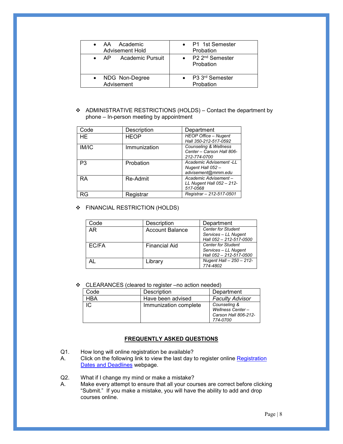| • AA Academic         | • P1 1st Semester                      |
|-----------------------|----------------------------------------|
| Advisement Hold       | Probation                              |
| • AP Academic Pursuit | • $P2 \, 2^{nd}$ Semester<br>Probation |
| • NDG Non-Degree      | • P3 3rd Semester                      |
| Advisement            | Probation                              |

 ADMINISTRATIVE RESTRICTIONS (HOLDS) – Contact the department by phone – In-person meeting by appointment

| Code           | Description  | Department                                                         |
|----------------|--------------|--------------------------------------------------------------------|
| HE.            | <b>HEOP</b>  | <b>HEOP Office - Nugent</b><br>Hall 350-212-517-0592               |
| IM/IC          | Immunization | Counseling & Wellness<br>Center - Carson Hall 806-<br>212-774-0700 |
| P <sub>3</sub> | Probation    | Academic Advisement -LL<br>Nugent Hall 052 -<br>advisement@mmm.edu |
| <b>RA</b>      | Re-Admit     | Academic Advisement-<br>LL Nugent Hall $052 - 212$ -<br>517-0568   |
| RG             | Registrar    | Registrar - 212-517-0501                                           |

# **EINANCIAL RESTRICTION (HOLDS)**

| Code  | Description          | Department                                                                   |
|-------|----------------------|------------------------------------------------------------------------------|
| AR.   | Account Balance      | <b>Center for Student</b><br>Services - LL Nugent<br>Hall 052 - 212-517-0500 |
| EC/FA | <b>Financial Aid</b> | <b>Center for Student</b><br>Services - LL Nugent<br>Hall 052 - 212-517-0500 |
|       | Librarv              | Nugent Hall - 250 - 212-<br>774-4802                                         |

CLEARANCES (cleared to register –no action needed)

| Code | <b>Description</b>    | Department                                                           |
|------|-----------------------|----------------------------------------------------------------------|
| HBA  | Have been advised     | <b>Faculty Advisor</b>                                               |
|      | Immunization complete | Counseling &<br>Wellness Center-<br>Carson Hall 806-212-<br>774-0700 |

# **FREQUENTLY ASKED QUESTIONS**

Q1. How long will online registration be available?

- A. Click on the following link to view the last day to register online Registration [Dates and Deadlines](https://www.mmm.edu/offices/academic-affairs/registration.php) webpage.
- Q2. What if I change my mind or make a mistake?<br>A. Make every attempt to ensure that all your cou
- Make every attempt to ensure that all your courses are correct before clicking "Submit." If you make a mistake, you will have the ability to add and drop courses online.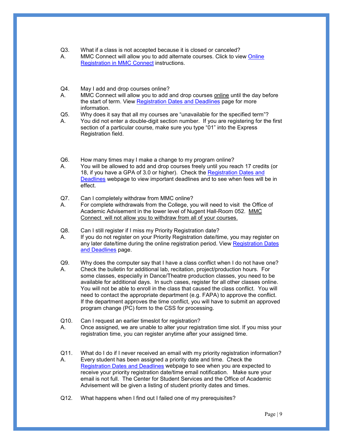- Q3. What if a class is not accepted because it is closed or canceled?
- A. MMC Connect will allow you to add alternate courses. Click to view [Online](https://www.mmm.edu/live/files/90-online-registration-in-mmc-connect---instructions)  [Registration in MMC Connect](https://www.mmm.edu/live/files/90-online-registration-in-mmc-connect---instructions) instructions.
- Q4. May I add and drop courses online?<br>A. MMC Connect will allow you to add a
- MMC Connect will allow you to add and drop courses online until the day before the start of term. View [Registration Dates and Deadlines](https://www.mmm.edu/offices/academic-affairs/registration.php) page for more information.
- Q5. Why does it say that all my courses are "unavailable for the specified term"?
- A. You did not enter a double-digit section number. If you are registering for the first section of a particular course, make sure you type "01" into the Express Registration field.
- Q6. How many times may I make a change to my program online?
- A. You will be allowed to add and drop courses freely until you reach 17 credits (or 18, if you have a GPA of 3.0 or higher). Check the Registration Dates and [Deadlines](https://www.mmm.edu/offices/academic-affairs/registration.php) webpage to view important deadlines and to see when fees will be in effect.
- Q7. Can I completely withdraw from MMC online?
- A. For complete withdrawals from the College, you will need to visit the Office of Academic Advisement in the lower level of Nugent Hall-Room 052. MMC Connect will not allow you to withdraw from all of your courses.
- Q8. Can I still register if I miss my Priority Registration date?<br>A. If you do not register on your Priority Registration date/ti
- If you do not register on your Priority Registration date/time, you may register on any later date/time during the online registration period. View Registration Dates [and Deadlines](https://www.mmm.edu/offices/academic-affairs/registration.php) page.
- Q9. Why does the computer say that I have a class conflict when I do not have one? A. Check the bulletin for additional lab, recitation, project/production hours. For some classes, especially in Dance/Theatre production classes, you need to be available for additional days. In such cases, register for all other classes online. You will not be able to enroll in the class that caused the class conflict. You will need to contact the appropriate department (e.g. FAPA) to approve the conflict. If the department approves the time conflict, you will have to submit an approved program change (PC) form to the CSS for processing.
- Q10. Can I request an earlier timeslot for registration? A. Once assigned, we are unable to alter your registration time slot. If you miss your registration time, you can register anytime after your assigned time.
- Q11. What do I do if I never received an email with my priority registration information? A. Every student has been assigned a priority date and time. Check the **[Registration Dates and Deadlines](https://www.mmm.edu/offices/academic-affairs/registration.php) webpage to see when you are expected to** receive your priority registration date/time email notification. Make sure your email is not full. The Center for Student Services and the Office of Academic Advisement will be given a listing of student priority dates and times.
- Q12. What happens when I find out I failed one of my prerequisites?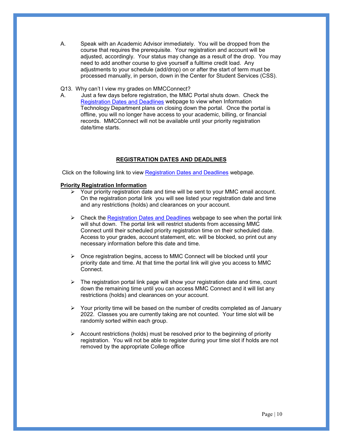- A. Speak with an Academic Advisor immediately. You will be dropped from the course that requires the prerequisite. Your registration and account will be adjusted, accordingly. Your status may change as a result of the drop. You may need to add another course to give yourself a fulltime credit load. Any adjustments to your schedule (add/drop) on or after the start of term must be processed manually, in person, down in the Center for Student Services (CSS).
- Q13. Why can't I view my grades on MMCConnect?<br>A. Just a few davs before registration, the MMC
- Just a few days before registration, the MMC Portal shuts down. Check the [Registration Dates and Deadlines](https://www.mmm.edu/offices/academic-affairs/registration.php) webpage to view when Information Technology Department plans on closing down the portal. Once the portal is offline, you will no longer have access to your academic, billing, or financial records. MMCConnect will not be available until your priority registration date/time starts.

# **REGISTRATION DATES AND DEADLINES**

Click on the following link to view [Registration Dates and Deadlines](https://www.mmm.edu/offices/academic-affairs/registration.php) webpage.

#### **Priority Registration Information**

- $\triangleright$  Your priority registration date and time will be sent to your MMC email account. On the registration portal link you will see listed your registration date and time and any restrictions (holds) and clearances on your account.
- $\triangleright$  Check the [Registration Dates and Deadlines](https://www.mmm.edu/offices/academic-affairs/registration.php) webpage to see when the portal link will shut down. The portal link will restrict students from accessing MMC Connect until their scheduled priority registration time on their scheduled date. Access to your grades, account statement, etc. will be blocked, so print out any necessary information before this date and time.
- Once registration begins, access to MMC Connect will be blocked until your priority date and time. At that time the portal link will give you access to MMC Connect.
- $\triangleright$  The registration portal link page will show your registration date and time, count down the remaining time until you can access MMC Connect and it will list any restrictions (holds) and clearances on your account.
- $\triangleright$  Your priority time will be based on the number of credits completed as of January 2022. Classes you are currently taking are not counted. Your time slot will be randomly sorted within each group.
- $\triangleright$  Account restrictions (holds) must be resolved prior to the beginning of priority registration. You will not be able to register during your time slot if holds are not removed by the appropriate College office